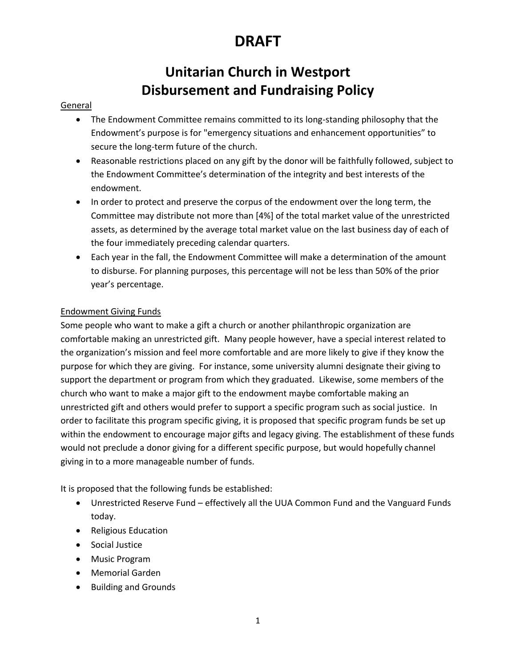## **DRAFT**

### **Unitarian Church in Westport Disbursement and Fundraising Policy**

#### General

- The Endowment Committee remains committed to its long-standing philosophy that the Endowment's purpose is for "emergency situations and enhancement opportunities" to secure the long-term future of the church.
- Reasonable restrictions placed on any gift by the donor will be faithfully followed, subject to the Endowment Committee's determination of the integrity and best interests of the endowment.
- In order to protect and preserve the corpus of the endowment over the long term, the Committee may distribute not more than [4%] of the total market value of the unrestricted assets, as determined by the average total market value on the last business day of each of the four immediately preceding calendar quarters.
- Each year in the fall, the Endowment Committee will make a determination of the amount to disburse. For planning purposes, this percentage will not be less than 50% of the prior year's percentage.

### Endowment Giving Funds

Some people who want to make a gift a church or another philanthropic organization are comfortable making an unrestricted gift. Many people however, have a special interest related to the organization's mission and feel more comfortable and are more likely to give if they know the purpose for which they are giving. For instance, some university alumni designate their giving to support the department or program from which they graduated. Likewise, some members of the church who want to make a major gift to the endowment maybe comfortable making an unrestricted gift and others would prefer to support a specific program such as social justice. In order to facilitate this program specific giving, it is proposed that specific program funds be set up within the endowment to encourage major gifts and legacy giving. The establishment of these funds would not preclude a donor giving for a different specific purpose, but would hopefully channel giving in to a more manageable number of funds.

It is proposed that the following funds be established:

- Unrestricted Reserve Fund effectively all the UUA Common Fund and the Vanguard Funds today.
- Religious Education
- Social Justice
- Music Program
- Memorial Garden
- Building and Grounds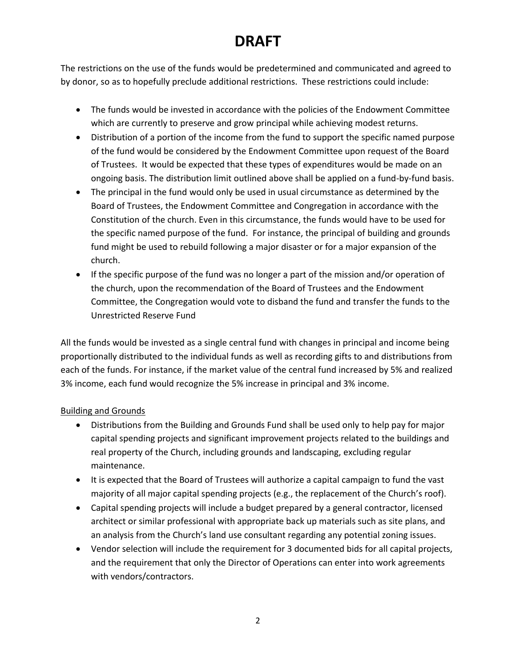## **DRAFT**

The restrictions on the use of the funds would be predetermined and communicated and agreed to by donor, so as to hopefully preclude additional restrictions. These restrictions could include:

- The funds would be invested in accordance with the policies of the Endowment Committee which are currently to preserve and grow principal while achieving modest returns.
- Distribution of a portion of the income from the fund to support the specific named purpose of the fund would be considered by the Endowment Committee upon request of the Board of Trustees. It would be expected that these types of expenditures would be made on an ongoing basis. The distribution limit outlined above shall be applied on a fund-by-fund basis.
- The principal in the fund would only be used in usual circumstance as determined by the Board of Trustees, the Endowment Committee and Congregation in accordance with the Constitution of the church. Even in this circumstance, the funds would have to be used for the specific named purpose of the fund. For instance, the principal of building and grounds fund might be used to rebuild following a major disaster or for a major expansion of the church.
- If the specific purpose of the fund was no longer a part of the mission and/or operation of the church, upon the recommendation of the Board of Trustees and the Endowment Committee, the Congregation would vote to disband the fund and transfer the funds to the Unrestricted Reserve Fund

All the funds would be invested as a single central fund with changes in principal and income being proportionally distributed to the individual funds as well as recording gifts to and distributions from each of the funds. For instance, if the market value of the central fund increased by 5% and realized 3% income, each fund would recognize the 5% increase in principal and 3% income.

#### Building and Grounds

- Distributions from the Building and Grounds Fund shall be used only to help pay for major capital spending projects and significant improvement projects related to the buildings and real property of the Church, including grounds and landscaping, excluding regular maintenance.
- It is expected that the Board of Trustees will authorize a capital campaign to fund the vast majority of all major capital spending projects (e.g., the replacement of the Church's roof).
- Capital spending projects will include a budget prepared by a general contractor, licensed architect or similar professional with appropriate back up materials such as site plans, and an analysis from the Church's land use consultant regarding any potential zoning issues.
- Vendor selection will include the requirement for 3 documented bids for all capital projects, and the requirement that only the Director of Operations can enter into work agreements with vendors/contractors.